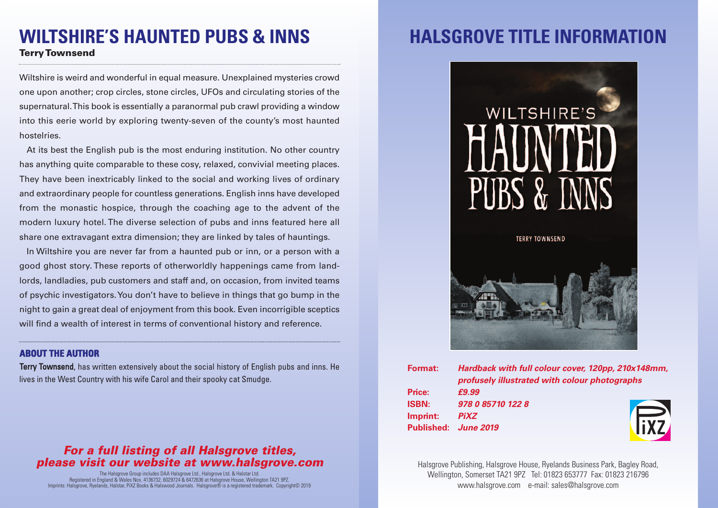### **WILTSHIRE'S HAUNTED PUBS & INNS TerryTownsend**

Wiltshire is weird and wonderful in equal measure. Unexplained mysteries crowd one upon another; crop circles, stone circles, UFOs and circulating stories of the supernatural.This book is essentially a paranormal pub crawl providing a window into this eerie world by exploring twenty-seven of the county's most haunted hostelries.

At its best the English pub is the most enduring institution. No other country has anything quite comparable to these cosy, relaxed, convivial meeting places. They have been inextricably linked to the social and working lives of ordinary and extraordinary people for countless generations. English inns have developed from the monastic hospice, through the coaching age to the advent of the modern luxury hotel. The diverse selection of pubs and inns featured here all share one extravagant extra dimension; they are linked by tales of hauntings.

In Wiltshire you are never far from a haunted pub or inn, or a person with a good ghost story. These reports of otherworldly happenings came from landlords, landladies, pub customers and staff and, on occasion, from invited teams of psychic investigators.You don't have to believe in things that go bump in the night to gain a great deal of enjoyment from this book. Even incorrigible sceptics will find a wealth of interest in terms of conventional history and reference.

#### **ABOUT THE AUTHOR**

Terry Townsend, has written extensively about the social history of English pubs and inns. He lives in the West Country with his wife Carol and their spooky cat Smudge.

### *For a full listing of all Halsgrove titles, please visit our website at www.halsgrove.com*

The Halsgrove Group includes DAA Halsgrove Ltd., Halsgrove Ltd. & Halstar Ltd. Registered in England & Wales Nos. 4136732, 6029724 & 6472636 at Halsgrove House, Wellington TA21 9PZ. Imprints: Halsgrove, Ryelands, Halstar, PiXZ Books & Halswood Journals. Halsgrove® is a registered trademark. Copyright© 2019

# **HALSGROVE TITLE INFORMAT**



| Format:      | Hardback with full colour cover, 120pp, 210x148mm,<br>profusely illustrated with colour photographs |            |
|--------------|-----------------------------------------------------------------------------------------------------|------------|
| Price:       | £9.99                                                                                               |            |
| <b>ISBN:</b> | 978 0 85710 122 8                                                                                   |            |
| Imprint:     | <b>PiXZ</b>                                                                                         |            |
|              | Published: June 2019                                                                                | <b>FXZ</b> |
|              |                                                                                                     |            |

Halsgrove Publishing, Halsgrove House, Ryelands Business Park, Bagley Road, Wellington, Somerset TA21 9PZ Tel: 01823 653777 Fax: 01823 216796 www.halsgrove.com e-mail: sales@halsgrove.com